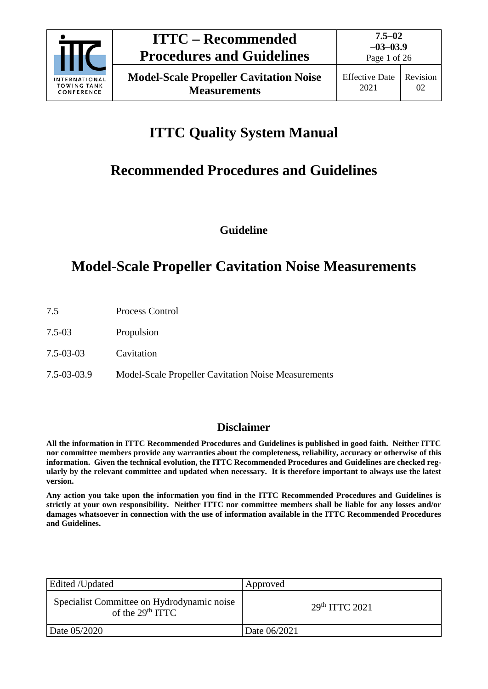

# **ITTC Quality System Manual**

# **Recommended Procedures and Guidelines**

**Guideline**

# **Model-Scale Propeller Cavitation Noise Measurements**

- 7.5 Process Control
- 7.5-03 Propulsion
- 7.5-03-03 Cavitation
- 7.5-03-03.9 Model-Scale Propeller Cavitation Noise Measurements

# **Disclaimer**

**All the information in ITTC Recommended Procedures and Guidelines is published in good faith. Neither ITTC nor committee members provide any warranties about the completeness, reliability, accuracy or otherwise of this information. Given the technical evolution, the ITTC Recommended Procedures and Guidelines are checked regularly by the relevant committee and updated when necessary. It is therefore important to always use the latest version.**

**Any action you take upon the information you find in the ITTC Recommended Procedures and Guidelines is strictly at your own responsibility. Neither ITTC nor committee members shall be liable for any losses and/or damages whatsoever in connection with the use of information available in the ITTC Recommended Procedures and Guidelines.**

| Edited /Updated                                                  | Approved                   |
|------------------------------------------------------------------|----------------------------|
| Specialist Committee on Hydrodynamic noise<br>of the $29th TTTC$ | 29 <sup>th</sup> TTTC 2021 |
| Date 05/2020                                                     | Date 06/2021               |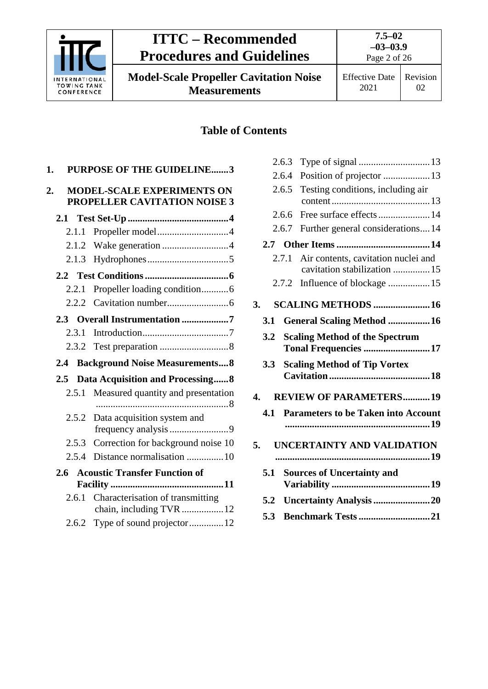

# **Table of Contents**

| 1. |       | <b>PURPOSE OF THE GUIDELINE3</b>                                  |
|----|-------|-------------------------------------------------------------------|
| 2. |       | <b>MODEL-SCALE EXPERIMENTS ON</b><br>PROPELLER CAVITATION NOISE 3 |
|    |       |                                                                   |
|    | 2.1.1 |                                                                   |
|    |       |                                                                   |
|    | 2.1.3 |                                                                   |
|    |       |                                                                   |
|    |       | 2.2.1 Propeller loading condition6                                |
|    |       |                                                                   |
|    |       | 2.3 Overall Instrumentation 7                                     |
|    | 2.3.1 |                                                                   |
|    |       |                                                                   |
|    | 2.4   | <b>Background Noise Measurements 8</b>                            |
|    | 2.5   | Data Acquisition and Processing 8                                 |
|    | 2.5.1 | Measured quantity and presentation                                |
|    | 2.5.2 | Data acquisition system and                                       |
|    |       | 2.5.3 Correction for background noise 10                          |
|    | 2.5.4 | Distance normalisation 10                                         |
|    | 2.6   | <b>Acoustic Transfer Function of</b>                              |
|    |       | 2.6.1 Characterisation of transmitting<br>chain, including TVR 12 |
|    |       | 2.6.2 Type of sound projector12                                   |

|    |     | 2.6.3 |                                                                     |  |
|----|-----|-------|---------------------------------------------------------------------|--|
|    |     | 2.6.4 | Position of projector  13                                           |  |
|    |     | 2.6.5 | Testing conditions, including air                                   |  |
|    |     | 2.6.6 | Free surface effects 14                                             |  |
|    |     | 2.6.7 | Further general considerations14                                    |  |
|    |     |       |                                                                     |  |
|    |     | 2.7.1 | Air contents, cavitation nuclei and<br>cavitation stabilization  15 |  |
|    |     | 2.7.2 |                                                                     |  |
| 3. |     |       | <b>SCALING METHODS  16</b>                                          |  |
|    | 3.1 |       | General Scaling Method  16                                          |  |
|    | 3.2 |       | <b>Scaling Method of the Spectrum</b>                               |  |
|    |     |       | Tonal Frequencies 17                                                |  |
|    | 3.3 |       | <b>Scaling Method of Tip Vortex</b>                                 |  |
|    |     |       |                                                                     |  |
| 4. |     |       | <b>REVIEW OF PARAMETERS19</b>                                       |  |
|    | 4.1 |       | <b>Parameters to be Taken into Account</b>                          |  |
|    |     |       |                                                                     |  |
| 5. |     |       | UNCERTAINTY AND VALIDATION                                          |  |
|    | 5.1 |       | <b>Sources of Uncertainty and</b>                                   |  |
|    |     |       |                                                                     |  |
|    | 5.2 |       | Uncertainty Analysis 20                                             |  |
|    | 5.3 |       | <b>Benchmark Tests 21</b>                                           |  |
|    |     |       |                                                                     |  |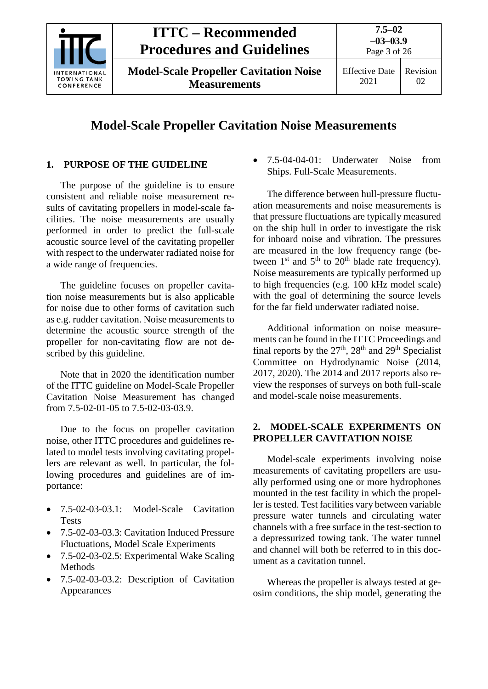

**Model-Scale Propeller Cavitation Noise Measurements**

# **Model-Scale Propeller Cavitation Noise Measurements**

# <span id="page-2-0"></span>**1. PURPOSE OF THE GUIDELINE**

The purpose of the guideline is to ensure consistent and reliable noise measurement results of cavitating propellers in model-scale facilities. The noise measurements are usually performed in order to predict the full-scale acoustic source level of the cavitating propeller with respect to the underwater radiated noise for a wide range of frequencies.

The guideline focuses on propeller cavitation noise measurements but is also applicable for noise due to other forms of cavitation such as e.g. rudder cavitation. Noise measurements to determine the acoustic source strength of the propeller for non-cavitating flow are not described by this guideline.

Note that in 2020 the identification number of the ITTC guideline on Model-Scale Propeller Cavitation Noise Measurement has changed from 7.5-02-01-05 to 7.5-02-03-03.9.

Due to the focus on propeller cavitation noise, other ITTC procedures and guidelines related to model tests involving cavitating propellers are relevant as well. In particular, the following procedures and guidelines are of importance:

- 7.5-02-03-03.1: Model-Scale Cavitation Tests
- 7.5-02-03-03.3: Cavitation Induced Pressure Fluctuations, Model Scale Experiments
- 7.5-02-03-02.5: Experimental Wake Scaling Methods
- 7.5-02-03-03.2: Description of Cavitation Appearances

• 7.5-04-04-01: Underwater Noise from Ships. Full-Scale Measurements.

The difference between hull-pressure fluctuation measurements and noise measurements is that pressure fluctuations are typically measured on the ship hull in order to investigate the risk for inboard noise and vibration. The pressures are measured in the low frequency range (between  $1<sup>st</sup>$  and  $5<sup>th</sup>$  to  $20<sup>th</sup>$  blade rate frequency). Noise measurements are typically performed up to high frequencies (e.g. 100 kHz model scale) with the goal of determining the source levels for the far field underwater radiated noise.

Additional information on noise measurements can be found in the ITTC Proceedings and final reports by the  $27<sup>th</sup>$ ,  $28<sup>th</sup>$  and  $29<sup>th</sup>$  Specialist Committee on Hydrodynamic Noise (2014, 2017, 2020). The 2014 and 2017 reports also review the responses of surveys on both full-scale and model-scale noise measurements.

## <span id="page-2-1"></span>**2. MODEL-SCALE EXPERIMENTS ON PROPELLER CAVITATION NOISE**

Model-scale experiments involving noise measurements of cavitating propellers are usually performed using one or more hydrophones mounted in the test facility in which the propeller is tested. Test facilities vary between variable pressure water tunnels and circulating water channels with a free surface in the test-section to a depressurized towing tank. The water tunnel and channel will both be referred to in this document as a cavitation tunnel.

Whereas the propeller is always tested at geosim conditions, the ship model, generating the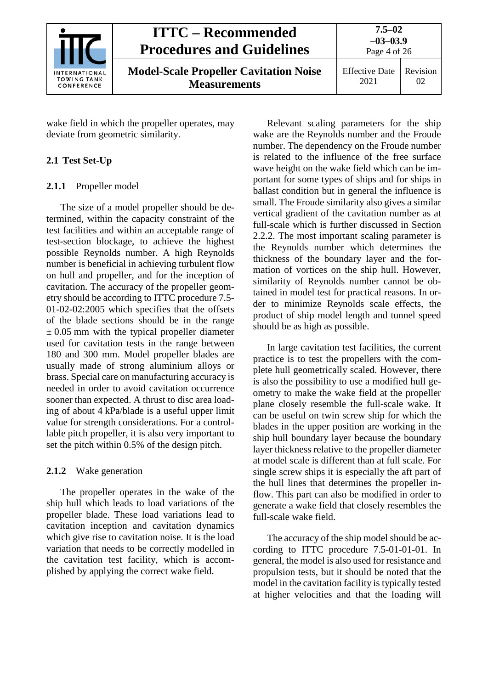| INTERNATIONAL<br><b>TOWING TANK</b><br>CONFERENCE | <b>ITTC – Recommended</b><br><b>Procedures and Guidelines</b>        | $7.5 - 02$<br>$-03-03.9$<br>Page 4 of 26 |                |
|---------------------------------------------------|----------------------------------------------------------------------|------------------------------------------|----------------|
|                                                   | <b>Model-Scale Propeller Cavitation Noise</b><br><b>Measurements</b> | <b>Effective Date</b><br>2021            | Revision<br>02 |

wake field in which the propeller operates, may deviate from geometric similarity.

## <span id="page-3-1"></span><span id="page-3-0"></span>**2.1 Test Set-Up**

### **2.1.1** Propeller model

The size of a model propeller should be determined, within the capacity constraint of the test facilities and within an acceptable range of test-section blockage, to achieve the highest possible Reynolds number. A high Reynolds number is beneficial in achieving turbulent flow on hull and propeller, and for the inception of cavitation. The accuracy of the propeller geometry should be according to ITTC procedure 7.5- 01-02-02:2005 which specifies that the offsets of the blade sections should be in the range  $\pm$  0.05 mm with the typical propeller diameter used for cavitation tests in the range between 180 and 300 mm. Model propeller blades are usually made of strong aluminium alloys or brass. Special care on manufacturing accuracy is needed in order to avoid cavitation occurrence sooner than expected. A thrust to disc area loading of about 4 kPa/blade is a useful upper limit value for strength considerations. For a controllable pitch propeller, it is also very important to set the pitch within 0.5% of the design pitch.

## <span id="page-3-2"></span>**2.1.2** Wake generation

The propeller operates in the wake of the ship hull which leads to load variations of the propeller blade. These load variations lead to cavitation inception and cavitation dynamics which give rise to cavitation noise. It is the load variation that needs to be correctly modelled in the cavitation test facility, which is accomplished by applying the correct wake field.

Relevant scaling parameters for the ship wake are the Reynolds number and the Froude number. The dependency on the Froude number is related to the influence of the free surface wave height on the wake field which can be important for some types of ships and for ships in ballast condition but in general the influence is small. The Froude similarity also gives a similar vertical gradient of the cavitation number as at full-scale which is further discussed in Section 2.2.2. The most important scaling parameter is the Reynolds number which determines the thickness of the boundary layer and the formation of vortices on the ship hull. However, similarity of Reynolds number cannot be obtained in model test for practical reasons. In order to minimize Reynolds scale effects, the product of ship model length and tunnel speed should be as high as possible.

In large cavitation test facilities, the current practice is to test the propellers with the complete hull geometrically scaled. However, there is also the possibility to use a modified hull geometry to make the wake field at the propeller plane closely resemble the full-scale wake. It can be useful on twin screw ship for which the blades in the upper position are working in the ship hull boundary layer because the boundary layer thickness relative to the propeller diameter at model scale is different than at full scale. For single screw ships it is especially the aft part of the hull lines that determines the propeller inflow. This part can also be modified in order to generate a wake field that closely resembles the full-scale wake field.

The accuracy of the ship model should be according to ITTC procedure 7.5-01-01-01. In general, the model is also used for resistance and propulsion tests, but it should be noted that the model in the cavitation facility is typically tested at higher velocities and that the loading will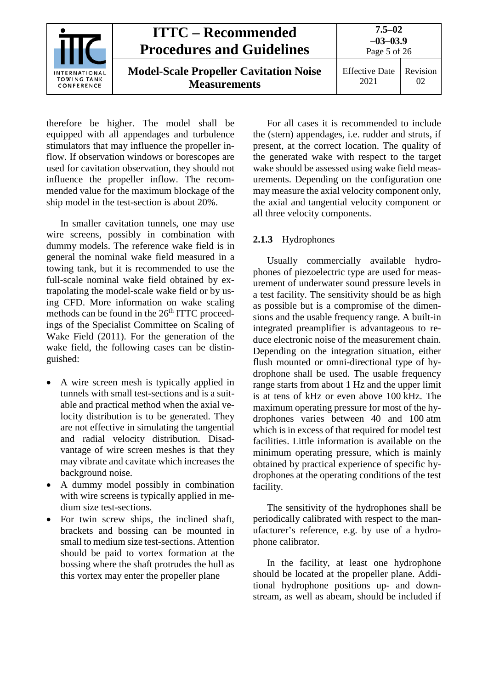|                                                   | <b>ITTC – Recommended</b><br><b>Procedures and Guidelines</b>        | $7.5 - 02$<br>$-03-03.9$<br>Page 5 of 26 |                       |
|---------------------------------------------------|----------------------------------------------------------------------|------------------------------------------|-----------------------|
| INTERNATIONAL<br><b>TOWING TANK</b><br>CONFERENCE | <b>Model-Scale Propeller Cavitation Noise</b><br><b>Measurements</b> | <b>Effective Date</b><br>2021            | <b>Revision</b><br>02 |

therefore be higher. The model shall be equipped with all appendages and turbulence stimulators that may influence the propeller inflow. If observation windows or borescopes are used for cavitation observation, they should not influence the propeller inflow. The recommended value for the maximum blockage of the ship model in the test-section is about 20%.

In smaller cavitation tunnels, one may use wire screens, possibly in combination with dummy models. The reference wake field is in general the nominal wake field measured in a towing tank, but it is recommended to use the full-scale nominal wake field obtained by extrapolating the model-scale wake field or by using CFD. More information on wake scaling methods can be found in the  $26<sup>th</sup> ITTC$  proceedings of the Specialist Committee on Scaling of Wake Field (2011). For the generation of the wake field, the following cases can be distinguished:

- A wire screen mesh is typically applied in tunnels with small test-sections and is a suitable and practical method when the axial velocity distribution is to be generated. They are not effective in simulating the tangential and radial velocity distribution. Disadvantage of wire screen meshes is that they may vibrate and cavitate which increases the background noise.
- A dummy model possibly in combination with wire screens is typically applied in medium size test-sections.
- For twin screw ships, the inclined shaft, brackets and bossing can be mounted in small to medium size test-sections. Attention should be paid to vortex formation at the bossing where the shaft protrudes the hull as this vortex may enter the propeller plane

For all cases it is recommended to include the (stern) appendages, i.e. rudder and struts, if present, at the correct location. The quality of the generated wake with respect to the target wake should be assessed using wake field measurements. Depending on the configuration one may measure the axial velocity component only, the axial and tangential velocity component or all three velocity components.

### <span id="page-4-0"></span>**2.1.3** Hydrophones

Usually commercially available hydrophones of piezoelectric type are used for measurement of underwater sound pressure levels in a test facility. The sensitivity should be as high as possible but is a compromise of the dimensions and the usable frequency range. A built-in integrated preamplifier is advantageous to reduce electronic noise of the measurement chain. Depending on the integration situation, either flush mounted or omni-directional type of hydrophone shall be used. The usable frequency range starts from about 1 Hz and the upper limit is at tens of kHz or even above 100 kHz. The maximum operating pressure for most of the hydrophones varies between 40 and 100 atm which is in excess of that required for model test facilities. Little information is available on the minimum operating pressure, which is mainly obtained by practical experience of specific hydrophones at the operating conditions of the test facility.

The sensitivity of the hydrophones shall be periodically calibrated with respect to the manufacturer's reference, e.g. by use of a hydrophone calibrator.

In the facility, at least one hydrophone should be located at the propeller plane. Additional hydrophone positions up- and downstream, as well as abeam, should be included if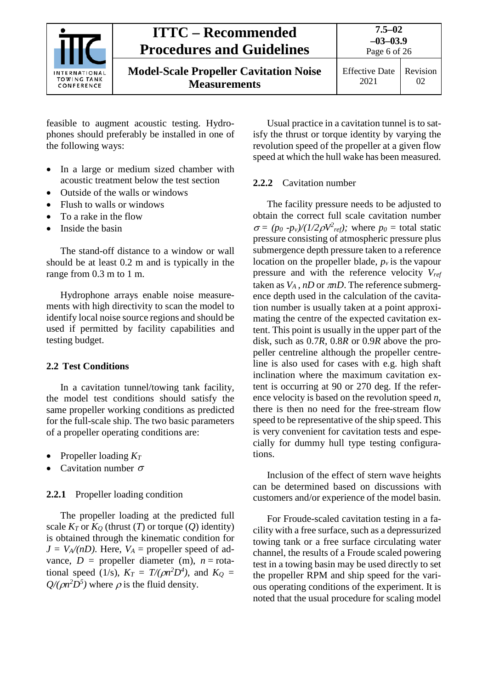

Page 6 of 26

**Model-Scale Propeller Cavitation Noise Measurements**

Effective Date 2021 Revision 02

feasible to augment acoustic testing. Hydrophones should preferably be installed in one of the following ways:

- In a large or medium sized chamber with acoustic treatment below the test section
- Outside of the walls or windows
- Flush to walls or windows
- To a rake in the flow
- Inside the basin

The stand-off distance to a window or wall should be at least 0.2 m and is typically in the range from 0.3 m to 1 m.

Hydrophone arrays enable noise measurements with high directivity to scan the model to identify local noise source regions and should be used if permitted by facility capabilities and testing budget.

## <span id="page-5-0"></span>**2.2 Test Conditions**

In a cavitation tunnel/towing tank facility, the model test conditions should satisfy the same propeller working conditions as predicted for the full-scale ship. The two basic parameters of a propeller operating conditions are:

- Propeller loading *KT*
- Cavitation number  $\sigma$

## <span id="page-5-1"></span>**2.2.1** Propeller loading condition

The propeller loading at the predicted full scale  $K_T$  or  $K_Q$  (thrust  $(T)$  or torque  $(Q)$  identity) is obtained through the kinematic condition for  $J = V_A/(nD)$ . Here,  $V_A$  = propeller speed of advance,  $D =$  propeller diameter (m),  $n =$  rotational speed (1/s),  $K_T = T/(\rho n^2 D^4)$ , and  $K_Q =$  $Q/(\rho n^2 D^5)$  where  $\rho$  is the fluid density.

Usual practice in a cavitation tunnel is to satisfy the thrust or torque identity by varying the revolution speed of the propeller at a given flow speed at which the hull wake has been measured.

### <span id="page-5-2"></span>**2.2.2** Cavitation number

The facility pressure needs to be adjusted to obtain the correct full scale cavitation number  $\sigma = (p_0 - p_v)/(1/2\rho V^2_{ref})$ ; where  $p_0 =$  total static pressure consisting of atmospheric pressure plus submergence depth pressure taken to a reference location on the propeller blade,  $p_\nu$  is the vapour pressure and with the reference velocity *Vref* taken as  $V_A$ ,  $nD$  or  $\pi nD$ . The reference submergence depth used in the calculation of the cavitation number is usually taken at a point approximating the centre of the expected cavitation extent. This point is usually in the upper part of the disk, such as 0.7*R*, 0.8*R* or 0.9*R* above the propeller centreline although the propeller centreline is also used for cases with e.g. high shaft inclination where the maximum cavitation extent is occurring at 90 or 270 deg. If the reference velocity is based on the revolution speed *n*, there is then no need for the free-stream flow speed to be representative of the ship speed. This is very convenient for cavitation tests and especially for dummy hull type testing configurations.

Inclusion of the effect of stern wave heights can be determined based on discussions with customers and/or experience of the model basin.

For Froude-scaled cavitation testing in a facility with a free surface, such as a depressurized towing tank or a free surface circulating water channel, the results of a Froude scaled powering test in a towing basin may be used directly to set the propeller RPM and ship speed for the various operating conditions of the experiment. It is noted that the usual procedure for scaling model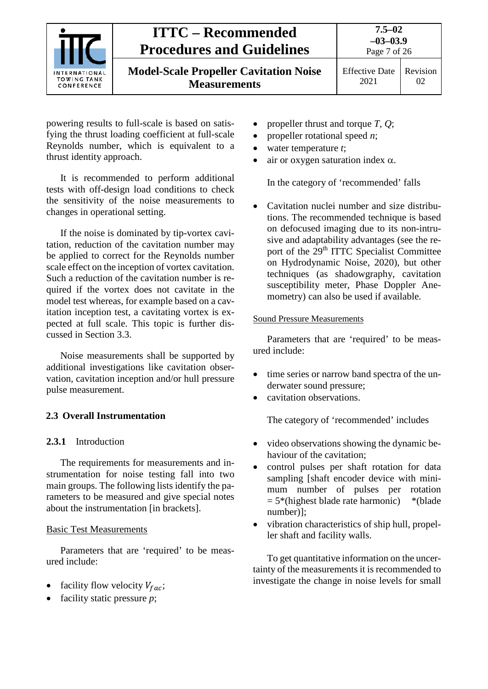

powering results to full-scale is based on satisfying the thrust loading coefficient at full-scale Reynolds number, which is equivalent to a thrust identity approach.

It is recommended to perform additional tests with off-design load conditions to check the sensitivity of the noise measurements to changes in operational setting.

If the noise is dominated by tip-vortex cavitation, reduction of the cavitation number may be applied to correct for the Reynolds number scale effect on the inception of vortex cavitation. Such a reduction of the cavitation number is required if the vortex does not cavitate in the model test whereas, for example based on a cavitation inception test, a cavitating vortex is expected at full scale. This topic is further discussed in Section 3.3.

Noise measurements shall be supported by additional investigations like cavitation observation, cavitation inception and/or hull pressure pulse measurement.

### <span id="page-6-1"></span><span id="page-6-0"></span>**2.3 Overall Instrumentation**

#### **2.3.1** Introduction

The requirements for measurements and instrumentation for noise testing fall into two main groups. The following lists identify the parameters to be measured and give special notes about the instrumentation [in brackets].

### Basic Test Measurements

Parameters that are 'required' to be measured include:

- facility flow velocity  $V_{fac}$ ;
- facility static pressure *p*;
- propeller thrust and torque *T, Q*;
- propeller rotational speed *n*;
- water temperature *t*;
- air or oxygen saturation index  $\alpha$ .

In the category of 'recommended' falls

• Cavitation nuclei number and size distributions. The recommended technique is based on defocused imaging due to its non-intrusive and adaptability advantages (see the report of the 29<sup>th</sup> ITTC Specialist Committee on Hydrodynamic Noise, 2020), but other techniques (as shadowgraphy, cavitation susceptibility meter, Phase Doppler Anemometry) can also be used if available.

#### Sound Pressure Measurements

Parameters that are 'required' to be measured include:

- time series or narrow band spectra of the underwater sound pressure;
- cavitation observations.

The category of 'recommended' includes

- video observations showing the dynamic behaviour of the cavitation;
- control pulses per shaft rotation for data sampling [shaft encoder device with minimum number of pulses per rotation  $= 5$ \*(highest blade rate harmonic) \*(blade number)];
- vibration characteristics of ship hull, propeller shaft and facility walls.

To get quantitative information on the uncertainty of the measurements it is recommended to investigate the change in noise levels for small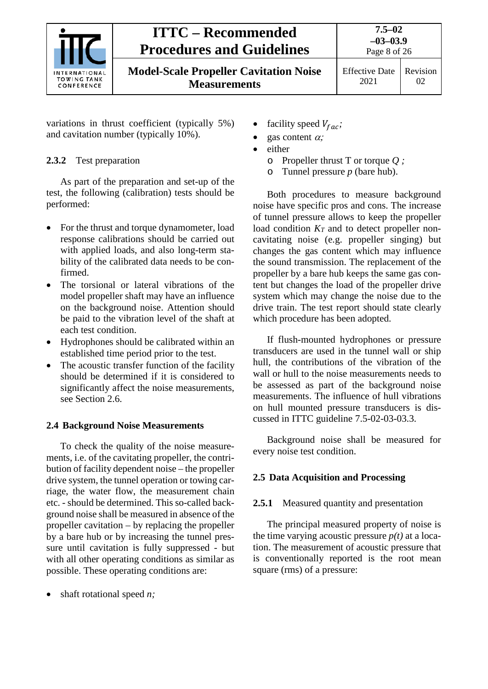

**Model-Scale Propeller Cavitation Noise Measurements**

Effective Date 2021

Revision 02

variations in thrust coefficient (typically 5%) and cavitation number (typically 10%).

# <span id="page-7-0"></span>**2.3.2** Test preparation

As part of the preparation and set-up of the test, the following (calibration) tests should be performed:

- For the thrust and torque dynamometer, load response calibrations should be carried out with applied loads, and also long-term stability of the calibrated data needs to be confirmed.
- The torsional or lateral vibrations of the model propeller shaft may have an influence on the background noise. Attention should be paid to the vibration level of the shaft at each test condition.
- Hydrophones should be calibrated within an established time period prior to the test.
- The acoustic transfer function of the facility should be determined if it is considered to significantly affect the noise measurements, see Section 2.6.

# <span id="page-7-1"></span>**2.4 Background Noise Measurements**

To check the quality of the noise measurements, i.e. of the cavitating propeller, the contribution of facility dependent noise – the propeller drive system, the tunnel operation or towing carriage, the water flow, the measurement chain etc. - should be determined. This so-called background noise shall be measured in absence of the propeller cavitation – by replacing the propeller by a bare hub or by increasing the tunnel pressure until cavitation is fully suppressed - but with all other operating conditions as similar as possible. These operating conditions are:

• shaft rotational speed *n;*

- facility speed  $V_{fac}$ ;
- gas content  $\alpha$ ;
- either
	- o Propeller thrust T or torque *Q ;*
	- o Tunnel pressure *p* (bare hub).

Both procedures to measure background noise have specific pros and cons. The increase of tunnel pressure allows to keep the propeller load condition  $K_T$  and to detect propeller noncavitating noise (e.g. propeller singing) but changes the gas content which may influence the sound transmission. The replacement of the propeller by a bare hub keeps the same gas content but changes the load of the propeller drive system which may change the noise due to the drive train. The test report should state clearly which procedure has been adopted.

If flush-mounted hydrophones or pressure transducers are used in the tunnel wall or ship hull, the contributions of the vibration of the wall or hull to the noise measurements needs to be assessed as part of the background noise measurements. The influence of hull vibrations on hull mounted pressure transducers is discussed in ITTC guideline 7.5-02-03-03.3.

Background noise shall be measured for every noise test condition.

# <span id="page-7-3"></span><span id="page-7-2"></span>**2.5 Data Acquisition and Processing**

# **2.5.1** Measured quantity and presentation

The principal measured property of noise is the time varying acoustic pressure  $p(t)$  at a location. The measurement of acoustic pressure that is conventionally reported is the root mean square (rms) of a pressure: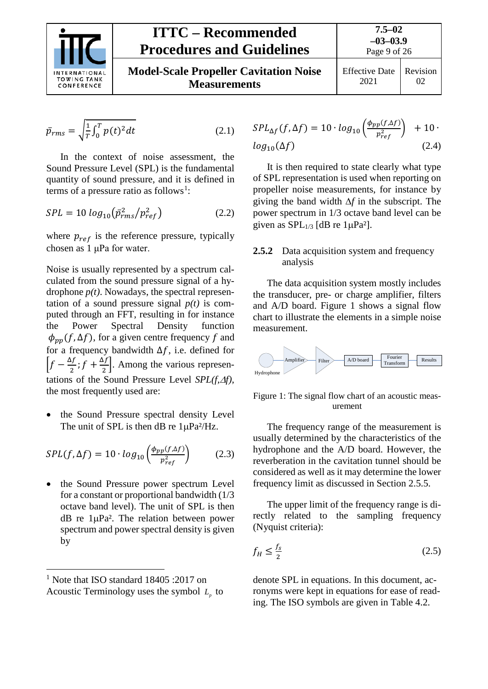

Page 9 of 26 **Model-Scale Propeller Cavitation Noise Measurements** Effective Date 2021 Revision 02

$$
\bar{p}_{rms} = \sqrt{\frac{1}{T} \int_0^T p(t)^2 dt}
$$
 (2.1)

In the context of noise assessment, the Sound Pressure Level (SPL) is the fundamental quantity of sound pressure, and it is defined in terms of a pressure ratio as follows<sup>[1](#page-8-1)</sup>:

$$
SPL = 10 \log_{10} (\bar{p}_{rms}^2 / p_{ref}^2)
$$
 (2.2)

where  $p_{ref}$  is the reference pressure, typically chosen as 1 μPa for water.

Noise is usually represented by a spectrum calculated from the sound pressure signal of a hydrophone  $p(t)$ . Nowadays, the spectral representation of a sound pressure signal  $p(t)$  is computed through an FFT, resulting in for instance the Power Spectral Density function  $\phi_{\text{pp}}(f, \Delta f)$ , for a given centre frequency f and for a frequency bandwidth  $\Delta f$ , i.e. defined for  $\left[f - \frac{\Delta f}{2}; f + \frac{\Delta f}{2}\right]$ . Among the various representations of the Sound Pressure Level *SPL(f,*∆*f)*, the most frequently used are:

• the Sound Pressure spectral density Level The unit of SPL is then dB re  $1\mu Pa^2/Hz$ .

$$
SPL(f, \Delta f) = 10 \cdot \log_{10} \left( \frac{\phi_{pp}(f, \Delta f)}{p_{ref}^2} \right) \tag{2.3}
$$

• the Sound Pressure power spectrum Level for a constant or proportional bandwidth (1/3 octave band level). The unit of SPL is then dB re 1µPa². The relation between power spectrum and power spectral density is given by

$$
SPL_{\Delta f}(f, \Delta f) = 10 \cdot log_{10} \left( \frac{\phi_{pp}(f, \Delta f)}{p_{ref}^2} \right) + 10 \cdot log_{10}(\Delta f)
$$
\n(2.4)

It is then required to state clearly what type of SPL representation is used when reporting on propeller noise measurements, for instance by giving the band width ∆*f* in the subscript. The power spectrum in 1/3 octave band level can be given as  $SPL_{1/3}$  [dB re 1µPa<sup>2</sup>].

#### <span id="page-8-0"></span>**2.5.2** Data acquisition system and frequency analysis

The data acquisition system mostly includes the transducer, pre- or charge amplifier, filters and A/D board. Figure 1 shows a signal flow chart to illustrate the elements in a simple noise measurement.



Figure 1: The signal flow chart of an acoustic measurement

The frequency range of the measurement is usually determined by the characteristics of the hydrophone and the A/D board. However, the reverberation in the cavitation tunnel should be considered as well as it may determine the lower frequency limit as discussed in Section 2.5.5.

The upper limit of the frequency range is directly related to the sampling frequency (Nyquist criteria):

$$
f_H \le \frac{f_s}{2} \tag{2.5}
$$

denote SPL in equations. In this document, acronyms were kept in equations for ease of reading. The ISO symbols are given in Table 4.2.

<span id="page-8-1"></span><sup>&</sup>lt;sup>1</sup> Note that ISO standard 18405 :2017 on Acoustic Terminology uses the symbol  $L_p$  to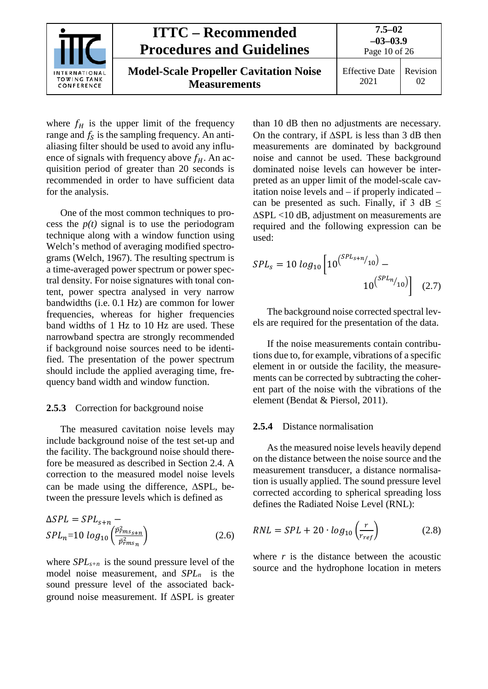| INTERNATIONAL<br><b>TOWING TANK</b><br>CONFERENCE | <b>ITTC – Recommended</b><br><b>Procedures and Guidelines</b>        | $7.5 - 02$<br>$-03-03.9$<br>Page 10 of 26 |          |
|---------------------------------------------------|----------------------------------------------------------------------|-------------------------------------------|----------|
|                                                   | <b>Model-Scale Propeller Cavitation Noise</b><br><b>Measurements</b> | <b>Effective Date</b><br>2021             | Revision |

where  $f_H$  is the upper limit of the frequency range and  $f_s$  is the sampling frequency. An antialiasing filter should be used to avoid any influence of signals with frequency above  $f_H$ . An acquisition period of greater than 20 seconds is recommended in order to have sufficient data for the analysis.

One of the most common techniques to process the  $p(t)$  signal is to use the periodogram technique along with a window function using Welch's method of averaging modified spectrograms (Welch, 1967). The resulting spectrum is a time-averaged power spectrum or power spectral density. For noise signatures with tonal content, power spectra analysed in very narrow bandwidths (i.e. 0.1 Hz) are common for lower frequencies, whereas for higher frequencies band widths of 1 Hz to 10 Hz are used. These narrowband spectra are strongly recommended if background noise sources need to be identified. The presentation of the power spectrum should include the applied averaging time, frequency band width and window function.

#### <span id="page-9-0"></span>**2.5.3** Correction for background noise

The measured cavitation noise levels may include background noise of the test set-up and the facility. The background noise should therefore be measured as described in Section [2.4.](#page-7-1) A correction to the measured model noise levels can be made using the difference, ∆SPL, between the pressure levels which is defined as

$$
\Delta SPL = SPL_{s+n} -
$$
  
\n
$$
SPL_n = 10 \log_{10} \left( \frac{\bar{p}_{rms}^2}{\bar{p}_{rms}^2} \right)
$$
 (2.6)

where *SPLs+n* is the sound pressure level of the model noise measurement, and *SPLn* is the sound pressure level of the associated background noise measurement. If ∆SPL is greater

than 10 dB then no adjustments are necessary. On the contrary, if ∆SPL is less than 3 dB then measurements are dominated by background noise and cannot be used. These background dominated noise levels can however be interpreted as an upper limit of the model-scale cavitation noise levels and – if properly indicated – can be presented as such. Finally, if  $3 dB <$ ∆SPL <10 dB, adjustment on measurements are required and the following expression can be used:

$$
SPL_s = 10 \log_{10} \left[ 10^{\left( \frac{SPL_{s+n}}{10} \right)} - 10^{\left( \frac{SPL_{n}}{10} \right)} \right] \quad (2.7)
$$

The background noise corrected spectral levels are required for the presentation of the data.

If the noise measurements contain contributions due to, for example, vibrations of a specific element in or outside the facility, the measurements can be corrected by subtracting the coherent part of the noise with the vibrations of the element (Bendat & Piersol, 2011).

#### <span id="page-9-1"></span>**2.5.4** Distance normalisation

As the measured noise levels heavily depend on the distance between the noise source and the measurement transducer, a distance normalisation is usually applied. The sound pressure level corrected according to spherical spreading loss defines the Radiated Noise Level (RNL):

$$
RNL = SPL + 20 \cdot \log_{10} \left( \frac{r}{r_{ref}} \right) \tag{2.8}
$$

where *r* is the distance between the acoustic source and the hydrophone location in meters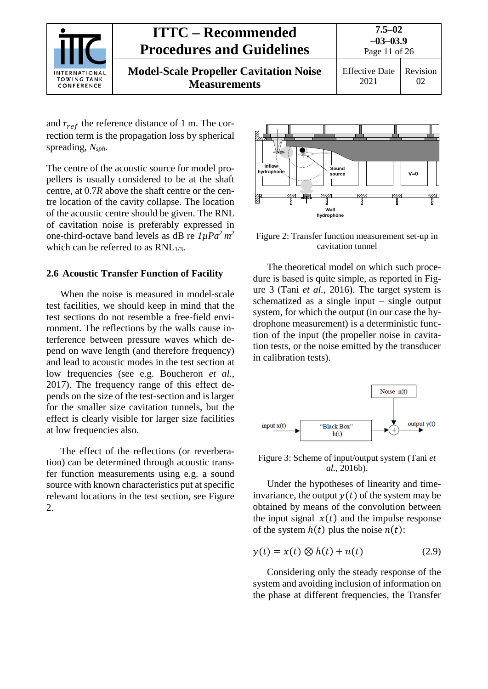

and  $r_{ref}$  the reference distance of 1 m. The correction term is the propagation loss by spherical spreading, *Nsph.*

The centre of the acoustic source for model propellers is usually considered to be at the shaft centre, at 0.7*R* above the shaft centre or the centre location of the cavity collapse. The location of the acoustic centre should be given. The RNL of cavitation noise is preferably expressed in one-third-octave band levels as dB re *1µPa2 m2* which can be referred to as  $RNL_{1/3}$ .

#### <span id="page-10-0"></span>**2.6 Acoustic Transfer Function of Facility**

When the noise is measured in model-scale test fa**c**ilities, we should keep in mind that the test sections do not resemble a free-field environment. The reflections by the walls cause interference between pressure waves which depend on wave length (and therefore frequency) and lead to acoustic modes in the test section at low frequencies (see e.g. Boucheron *et al.*, 2017). The frequency range of this effect depends on the size of the test-section and is larger for the smaller size cavitation tunnels, but the effect is clearly visible for larger size facilities at low frequencies also.

The effect of the reflections (or reverberation) can be determined through acoustic transfer function measurements using e.g. a sound source with known characteristics put at specific relevant locations in the test section, see Figure 2.



Figure 2: Transfer function measurement set-up in cavitation tunnel

The theoretical model on which such procedure is based is quite simple, as reported in Figure 3 (Tani *et al.*, 2016). The target system is schematized as a single input – single output system, for which the output (in our case the hydrophone measurement) is a deterministic function of the input (the propeller noise in cavitation tests, or the noise emitted by the transducer in calibration tests).



Figure 3: Scheme of input/output system (Tani *et al.*, 2016b).

Under the hypotheses of linearity and timeinvariance, the output  $y(t)$  of the system may be obtained by means of the convolution between the input signal  $x(t)$  and the impulse response of the system  $h(t)$  plus the noise  $n(t)$ :

$$
y(t) = x(t) \otimes h(t) + n(t) \tag{2.9}
$$

Considering only the steady response of the system and avoiding inclusion of information on the phase at different frequencies, the Transfer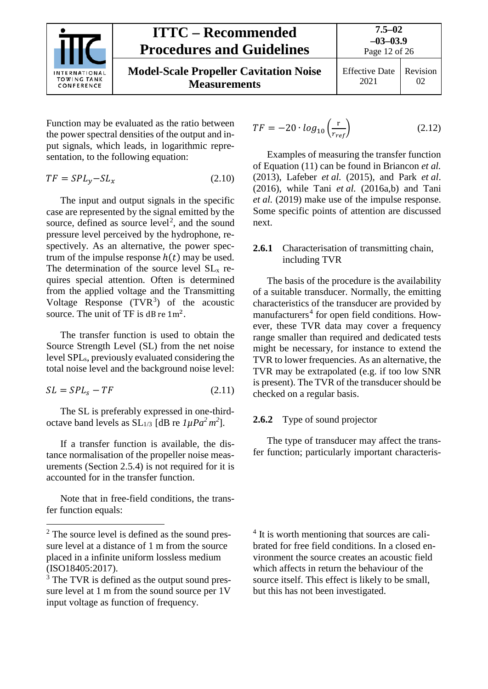

Function may be evaluated as the ratio between the power spectral densities of the output and input signals, which leads, in logarithmic representation, to the following equation:

$$
TF = SPL_y - SL_x \tag{2.10}
$$

The input and output signals in the specific case are represented by the signal emitted by the source, defined as source  $level^2$  $level^2$ , and the sound pressure level perceived by the hydrophone, respectively. As an alternative, the power spectrum of the impulse response  $h(t)$  may be used. The determination of the source level  $SL<sub>x</sub>$  requires special attention. Often is determined from the applied voltage and the Transmitting Voltage Response  $(TVR<sup>3</sup>)$  $(TVR<sup>3</sup>)$  $(TVR<sup>3</sup>)$  of the acoustic source. The unit of TF is dB re  $1m^2$ .

The transfer function is used to obtain the Source Strength Level (SL) from the net noise level SPLs, previously evaluated considering the total noise level and the background noise level:

$$
SL = SPLs - TF
$$
 (2.11)

The SL is preferably expressed in one-thirdoctave band levels as  $SL_{1/3}$  [dB re  $1 \mu P a^2 m^2$ ].

If a transfer function is available, the distance normalisation of the propeller noise measurements (Section 2.5.4) is not required for it is accounted for in the transfer function.

Note that in free-field conditions, the transfer function equals:

$$
TF = -20 \cdot \log_{10} \left( \frac{\mathbf{r}}{r_{ref}} \right) \tag{2.12}
$$

Examples of measuring the transfer function of Equation (11) can be found in Briancon *et al.* (2013), Lafeber *et al.* (2015), and Park *et al*. (2016), while Tani *et al.* (2016a,b) and Tani *et al.* (2019) make use of the impulse response. Some specific points of attention are discussed next.

### <span id="page-11-0"></span>**2.6.1** Characterisation of transmitting chain, including TVR

The basis of the procedure is the availability of a suitable transducer. Normally, the emitting characteristics of the transducer are provided by manufacturers<sup>[4](#page-11-2)</sup> for open field conditions. However, these TVR data may cover a frequency range smaller than required and dedicated tests might be necessary, for instance to extend the TVR to lower frequencies. As an alternative, the TVR may be extrapolated (e.g. if too low SNR is present). The TVR of the transducer should be checked on a regular basis.

### <span id="page-11-1"></span>**2.6.2** Type of sound projector

The type of transducer may affect the transfer function; particularly important characteris-

<sup>4</sup> It is worth mentioning that sources are calibrated for free field conditions. In a closed environment the source creates an acoustic field which affects in return the behaviour of the source itself. This effect is likely to be small, but this has not been investigated.

<span id="page-11-2"></span> <sup>2</sup> The source level is defined as the sound pressure level at a distance of 1 m from the source placed in a infinite uniform lossless medium (ISO18405:2017).

<span id="page-11-3"></span> $3$  The TVR is defined as the output sound pressure level at 1 m from the sound source per 1V input voltage as function of frequency.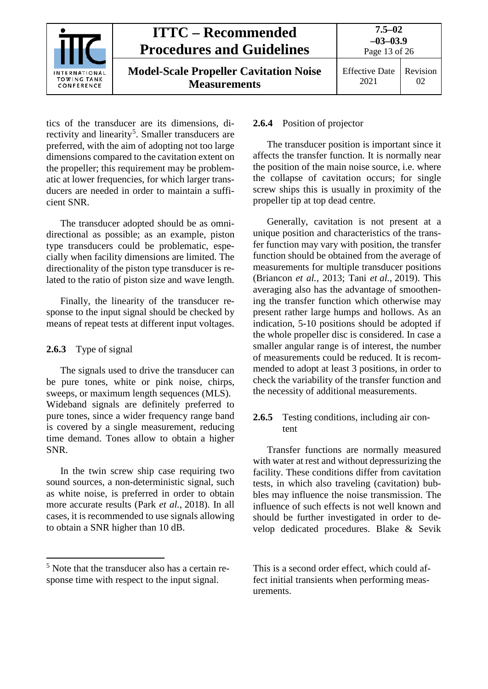

tics of the transducer are its dimensions, di-rectivity and linearity<sup>[5](#page-12-3)</sup>. Smaller transducers are preferred, with the aim of adopting not too large dimensions compared to the cavitation extent on the propeller; this requirement may be problematic at lower frequencies, for which larger transducers are needed in order to maintain a sufficient SNR.

The transducer adopted should be as omnidirectional as possible; as an example, piston type transducers could be problematic, especially when facility dimensions are limited. The directionality of the piston type transducer is related to the ratio of piston size and wave length.

Finally, the linearity of the transducer response to the input signal should be checked by means of repeat tests at different input voltages.

### <span id="page-12-0"></span>**2.6.3** Type of signal

The signals used to drive the transducer can be pure tones, white or pink noise, chirps, sweeps, or maximum length sequences (MLS). Wideband signals are definitely preferred to pure tones, since a wider frequency range band is covered by a single measurement, reducing time demand. Tones allow to obtain a higher SNR.

In the twin screw ship case requiring two sound sources, a non-deterministic signal, such as white noise, is preferred in order to obtain more accurate results (Park *et al.*, 2018). In all cases, it is recommended to use signals allowing to obtain a SNR higher than 10 dB.

### <span id="page-12-1"></span>**2.6.4** Position of projector

The transducer position is important since it affects the transfer function. It is normally near the position of the main noise source, i.e. where the collapse of cavitation occurs; for single screw ships this is usually in proximity of the propeller tip at top dead centre.

Generally, cavitation is not present at a unique position and characteristics of the transfer function may vary with position, the transfer function should be obtained from the average of measurements for multiple transducer positions (Briancon *et al.*, 2013; Tani *et al.*, 2019). This averaging also has the advantage of smoothening the transfer function which otherwise may present rather large humps and hollows. As an indication, 5-10 positions should be adopted if the whole propeller disc is considered. In case a smaller angular range is of interest, the number of measurements could be reduced. It is recommended to adopt at least 3 positions, in order to check the variability of the transfer function and the necessity of additional measurements.

## <span id="page-12-2"></span>**2.6.5** Testing conditions, including air content

Transfer functions are normally measured with water at rest and without depressurizing the facility. These conditions differ from cavitation tests, in which also traveling (cavitation) bubbles may influence the noise transmission. The influence of such effects is not well known and should be further investigated in order to develop dedicated procedures. Blake & Sevik

<span id="page-12-3"></span> <sup>5</sup> Note that the transducer also has a certain response time with respect to the input signal.

This is a second order effect, which could affect initial transients when performing measurements.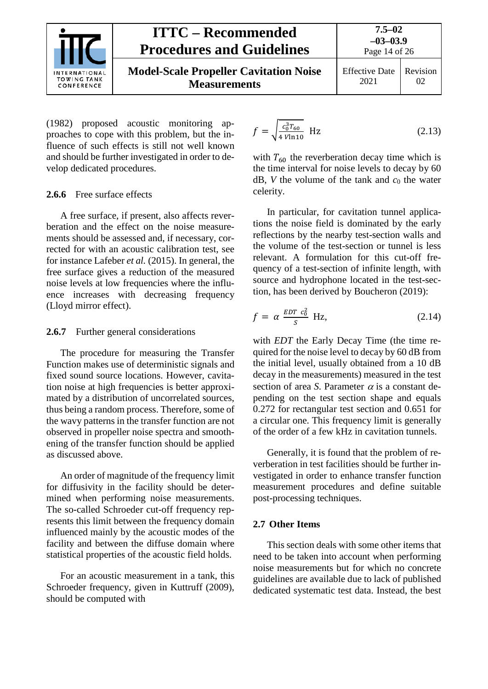

(1982) proposed acoustic monitoring approaches to cope with this problem, but the influence of such effects is still not well known and should be further investigated in order to develop dedicated procedures.

#### <span id="page-13-0"></span>**2.6.6** Free surface effects

A free surface, if present, also affects reverberation and the effect on the noise measurements should be assessed and, if necessary, corrected for with an acoustic calibration test, see for instance Lafeber *et al.* (2015). In general, the free surface gives a reduction of the measured noise levels at low frequencies where the influence increases with decreasing frequency (Lloyd mirror effect).

#### <span id="page-13-1"></span>**2.6.7** Further general considerations

The procedure for measuring the Transfer Function makes use of deterministic signals and fixed sound source locations. However, cavitation noise at high frequencies is better approximated by a distribution of uncorrelated sources, thus being a random process. Therefore, some of the wavy patterns in the transfer function are not observed in propeller noise spectra and smoothening of the transfer function should be applied as discussed above.

An order of magnitude of the frequency limit for diffusivity in the facility should be determined when performing noise measurements. The so-called Schroeder cut-off frequency represents this limit between the frequency domain influenced mainly by the acoustic modes of the facility and between the diffuse domain where statistical properties of the acoustic field holds.

For an acoustic measurement in a tank, this Schroeder frequency, given in Kuttruff (2009), should be computed with

$$
f = \sqrt{\frac{c_0^3 T_{60}}{4 \text{ Vln} 10}} \text{ Hz}
$$
 (2.13)

with  $T_{60}$  the reverberation decay time which is the time interval for noise levels to decay by 60  $dB$ , *V* the volume of the tank and  $c_0$  the water celerity.

In particular, for cavitation tunnel applications the noise field is dominated by the early reflections by the nearby test-section walls and the volume of the test-section or tunnel is less relevant. A formulation for this cut-off frequency of a test-section of infinite length, with source and hydrophone located in the test-section, has been derived by Boucheron (2019):

$$
f = \alpha \frac{EDT \ c_0^2}{S} \ \text{Hz},\tag{2.14}
$$

with *EDT* the Early Decay Time (the time required for the noise level to decay by 60 dB from the initial level, usually obtained from a 10 dB decay in the measurements) measured in the test section of area *S*. Parameter  $\alpha$  is a constant depending on the test section shape and equals 0.272 for rectangular test section and 0.651 for a circular one. This frequency limit is generally of the order of a few kHz in cavitation tunnels.

Generally, it is found that the problem of reverberation in test facilities should be further investigated in order to enhance transfer function measurement procedures and define suitable post-processing techniques.

### <span id="page-13-2"></span>**2.7 Other Items**

This section deals with some other items that need to be taken into account when performing noise measurements but for which no concrete guidelines are available due to lack of published dedicated systematic test data. Instead, the best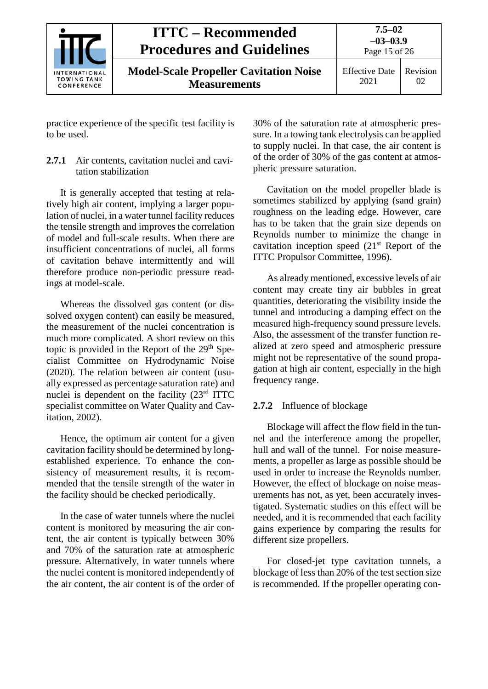

Page 15 of 26

**Model-Scale Propeller Cavitation Noise Measurements**

Effective Date 2021 Revision 02

practice experience of the specific test facility is to be used.

## <span id="page-14-0"></span>**2.7.1** Air contents, cavitation nuclei and cavitation stabilization

It is generally accepted that testing at relatively high air content, implying a larger population of nuclei, in a water tunnel facility reduces the tensile strength and improves the correlation of model and full-scale results. When there are insufficient concentrations of nuclei, all forms of cavitation behave intermittently and will therefore produce non-periodic pressure readings at model-scale.

Whereas the dissolved gas content (or dissolved oxygen content) can easily be measured, the measurement of the nuclei concentration is much more complicated. A short review on this topic is provided in the Report of the  $29<sup>th</sup>$  Specialist Committee on Hydrodynamic Noise (2020). The relation between air content (usually expressed as percentage saturation rate) and nuclei is dependent on the facility (23rd ITTC specialist committee on Water Quality and Cavitation, 2002).

Hence, the optimum air content for a given cavitation facility should be determined by longestablished experience. To enhance the consistency of measurement results, it is recommended that the tensile strength of the water in the facility should be checked periodically.

In the case of water tunnels where the nuclei content is monitored by measuring the air content, the air content is typically between 30% and 70% of the saturation rate at atmospheric pressure. Alternatively, in water tunnels where the nuclei content is monitored independently of the air content, the air content is of the order of

30% of the saturation rate at atmospheric pressure. In a towing tank electrolysis can be applied to supply nuclei. In that case, the air content is of the order of 30% of the gas content at atmospheric pressure saturation.

Cavitation on the model propeller blade is sometimes stabilized by applying (sand grain) roughness on the leading edge. However, care has to be taken that the grain size depends on Reynolds number to minimize the change in cavitation inception speed  $(21<sup>st</sup>$  Report of the ITTC Propulsor Committee, 1996).

As already mentioned, excessive levels of air content may create tiny air bubbles in great quantities, deteriorating the visibility inside the tunnel and introducing a damping effect on the measured high-frequency sound pressure levels. Also, the assessment of the transfer function realized at zero speed and atmospheric pressure might not be representative of the sound propagation at high air content, especially in the high frequency range.

# <span id="page-14-1"></span>**2.7.2** Influence of blockage

Blockage will affect the flow field in the tunnel and the interference among the propeller, hull and wall of the tunnel. For noise measurements, a propeller as large as possible should be used in order to increase the Reynolds number. However, the effect of blockage on noise measurements has not, as yet, been accurately investigated. Systematic studies on this effect will be needed, and it is recommended that each facility gains experience by comparing the results for different size propellers.

For closed-jet type cavitation tunnels, a blockage of less than 20% of the test section size is recommended. If the propeller operating con-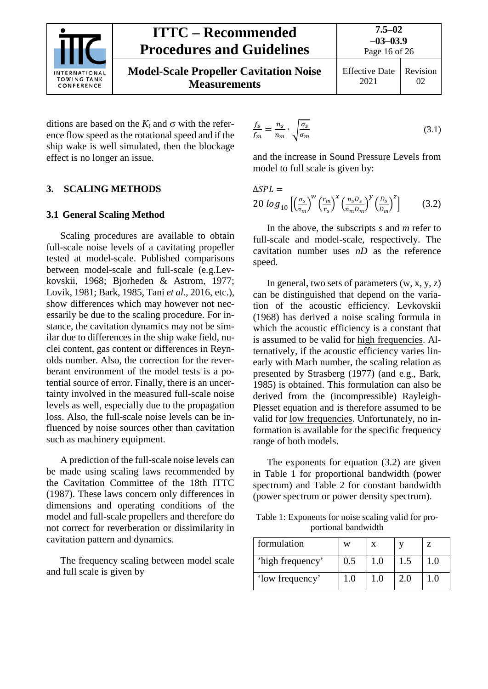

**Model-Scale Propeller Cavitation Noise Measurements**

Page 16 of 26 Effective Date 2021 Revision 02

ditions are based on the  $K_t$  and  $\sigma$  with the reference flow speed as the rotational speed and if the ship wake is well simulated, then the blockage effect is no longer an issue.

## <span id="page-15-1"></span><span id="page-15-0"></span>**3. SCALING METHODS**

## **3.1 General Scaling Method**

Scaling procedures are available to obtain full-scale noise levels of a cavitating propeller tested at model-scale. Published comparisons between model-scale and full-scale (e.g.Levkovskii, 1968; Bjorheden & Astrom, 1977; Lovik, 1981; Bark, 1985, Tani *et al.*, 2016, etc.), show differences which may however not necessarily be due to the scaling procedure. For instance, the cavitation dynamics may not be similar due to differences in the ship wake field, nuclei content, gas content or differences in Reynolds number. Also, the correction for the reverberant environment of the model tests is a potential source of error. Finally, there is an uncertainty involved in the measured full-scale noise levels as well, especially due to the propagation loss. Also, the full-scale noise levels can be influenced by noise sources other than cavitation such as machinery equipment.

A prediction of the full-scale noise levels can be made using scaling laws recommended by the Cavitation Committee of the 18th ITTC (1987). These laws concern only differences in dimensions and operating conditions of the model and full-scale propellers and therefore do not correct for reverberation or dissimilarity in cavitation pattern and dynamics.

The frequency scaling between model scale and full scale is given by

$$
\frac{f_s}{f_m} = \frac{n_s}{n_m} \cdot \sqrt{\frac{\sigma_s}{\sigma_m}}
$$
\n(3.1)

and the increase in Sound Pressure Levels from model to full scale is given by:

 $\triangle SPL =$ 

$$
20 \log_{10} \left[ \left( \frac{\sigma_s}{\sigma_m} \right)^w \left( \frac{r_m}{r_s} \right)^x \left( \frac{n_s D_s}{n_m D_m} \right)^y \left( \frac{D_s}{D_m} \right)^z \right] \tag{3.2}
$$

In the above, the subscripts *s* and *m* refer to full-scale and model-scale, respectively. The cavitation number uses *nD* as the reference speed.

In general, two sets of parameters  $(w, x, y, z)$ can be distinguished that depend on the variation of the acoustic efficiency. Levkovskii (1968) has derived a noise scaling formula in which the acoustic efficiency is a constant that is assumed to be valid for high frequencies. Alternatively, if the acoustic efficiency varies linearly with Mach number, the scaling relation as presented by Strasberg (1977) (and e.g., Bark, 1985) is obtained. This formulation can also be derived from the (incompressible) Rayleigh-Plesset equation and is therefore assumed to be valid for low frequencies. Unfortunately, no information is available for the specific frequency range of both models.

The exponents for equation (3.2) are given in Table 1 for proportional bandwidth (power spectrum) and Table 2 for constant bandwidth (power spectrum or power density spectrum).

Table 1: Exponents for noise scaling valid for proportional bandwidth

| formulation      | w   |     |  |
|------------------|-----|-----|--|
| 'high frequency' | 0.5 | 1.0 |  |
| 'low frequency'  | LΟ  | 1.0 |  |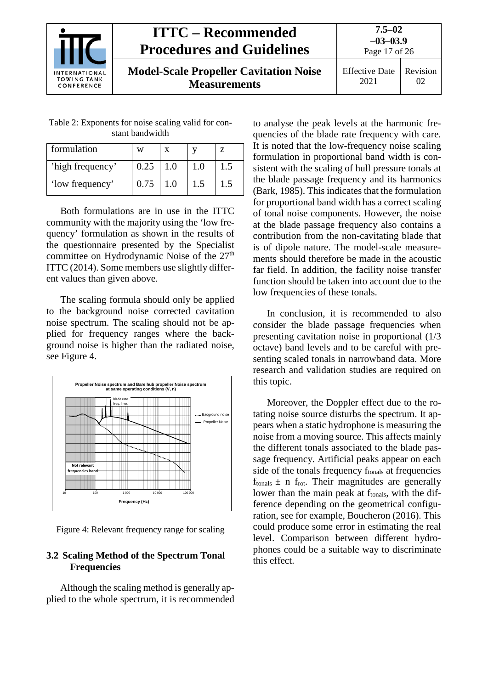

**7.5–02 –03–03.9**

Page 17 of 26

**Model-Scale Propeller Cavitation Noise Measurements**

Effective Date 2021 Revision 02

Table 2: Exponents for noise scaling valid for constant bandwidth

| formulation      | W    |     |     |
|------------------|------|-----|-----|
| 'high frequency' | 0.25 | 1.0 | 1.5 |
| 'low frequency'  | 0.75 | 1.0 |     |

Both formulations are in use in the ITTC community with the majority using the 'low frequency' formulation as shown in the results of the questionnaire presented by the Specialist committee on Hydrodynamic Noise of the 27<sup>th</sup> ITTC (2014). Some members use slightly different values than given above.

The scaling formula should only be applied to the background noise corrected cavitation noise spectrum. The scaling should not be applied for frequency ranges where the background noise is higher than the radiated noise, see Figure 4.



Figure 4: Relevant frequency range for scaling

### <span id="page-16-0"></span>**3.2 Scaling Method of the Spectrum Tonal Frequencies**

Although the scaling method is generally applied to the whole spectrum, it is recommended

to analyse the peak levels at the harmonic frequencies of the blade rate frequency with care. It is noted that the low-frequency noise scaling formulation in proportional band width is consistent with the scaling of hull pressure tonals at the blade passage frequency and its harmonics (Bark, 1985). This indicates that the formulation for proportional band width has a correct scaling of tonal noise components. However, the noise at the blade passage frequency also contains a contribution from the non-cavitating blade that is of dipole nature. The model-scale measurements should therefore be made in the acoustic far field. In addition, the facility noise transfer function should be taken into account due to the low frequencies of these tonals.

In conclusion, it is recommended to also consider the blade passage frequencies when presenting cavitation noise in proportional (1/3 octave) band levels and to be careful with presenting scaled tonals in narrowband data. More research and validation studies are required on this topic.

Moreover, the Doppler effect due to the rotating noise source disturbs the spectrum. It appears when a static hydrophone is measuring the noise from a moving source. This affects mainly the different tonals associated to the blade passage frequency. Artificial peaks appear on each side of the tonals frequency f<sub>tonals</sub> at frequencies  $f_{\text{tonals}} \pm n f_{\text{rot}}$ . Their magnitudes are generally lower than the main peak at f<sub>tonals</sub>, with the difference depending on the geometrical configuration, see for example, Boucheron (2016). This could produce some error in estimating the real level. Comparison between different hydrophones could be a suitable way to discriminate this effect.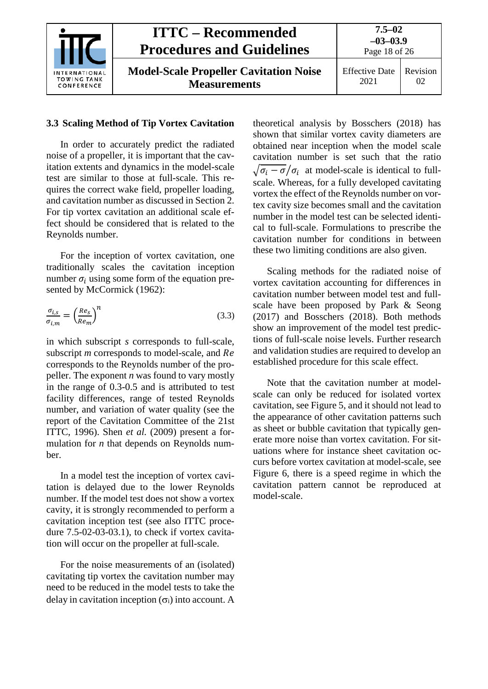

#### <span id="page-17-0"></span>**3.3 Scaling Method of Tip Vortex Cavitation**

In order to accurately predict the radiated noise of a propeller, it is important that the cavitation extents and dynamics in the model-scale test are similar to those at full-scale. This requires the correct wake field, propeller loading, and cavitation number as discussed in Section 2. For tip vortex cavitation an additional scale effect should be considered that is related to the Reynolds number.

For the inception of vortex cavitation, one traditionally scales the cavitation inception number  $\sigma_i$  using some form of the equation presented by McCormick (1962):

$$
\frac{\sigma_{i,s}}{\sigma_{i,m}} = \left(\frac{Re_s}{Re_m}\right)^n\tag{3.3}
$$

in which subscript *s* corresponds to full-scale, subscript *m* corresponds to model-scale, and Re corresponds to the Reynolds number of the propeller. The exponent *n* was found to vary mostly in the range of 0.3-0.5 and is attributed to test facility differences, range of tested Reynolds number, and variation of water quality (see the report of the Cavitation Committee of the 21st ITTC, 1996). Shen *et al.* (2009) present a formulation for *n* that depends on Reynolds number.

In a model test the inception of vortex cavitation is delayed due to the lower Reynolds number. If the model test does not show a vortex cavity, it is strongly recommended to perform a cavitation inception test (see also ITTC procedure 7.5-02-03-03.1), to check if vortex cavitation will occur on the propeller at full-scale.

For the noise measurements of an (isolated) cavitating tip vortex the cavitation number may need to be reduced in the model tests to take the delay in cavitation inception  $(\sigma_i)$  into account. A

theoretical analysis by Bosschers (2018) has shown that similar vortex cavity diameters are obtained near inception when the model scale cavitation number is set such that the ratio  $\sqrt{\sigma_i - \sigma}/\sigma_i$  at model-scale is identical to fullscale. Whereas, for a fully developed cavitating vortex the effect of the Reynolds number on vortex cavity size becomes small and the cavitation number in the model test can be selected identical to full-scale. Formulations to prescribe the cavitation number for conditions in between these two limiting conditions are also given.

Scaling methods for the radiated noise of vortex cavitation accounting for differences in cavitation number between model test and fullscale have been proposed by Park & Seong (2017) and Bosschers (2018). Both methods show an improvement of the model test predictions of full-scale noise levels. Further research and validation studies are required to develop an established procedure for this scale effect.

Note that the cavitation number at modelscale can only be reduced for isolated vortex cavitation, see Figure 5, and it should not lead to the appearance of other cavitation patterns such as sheet or bubble cavitation that typically generate more noise than vortex cavitation. For situations where for instance sheet cavitation occurs before vortex cavitation at model-scale, see Figure 6, there is a speed regime in which the cavitation pattern cannot be reproduced at model-scale.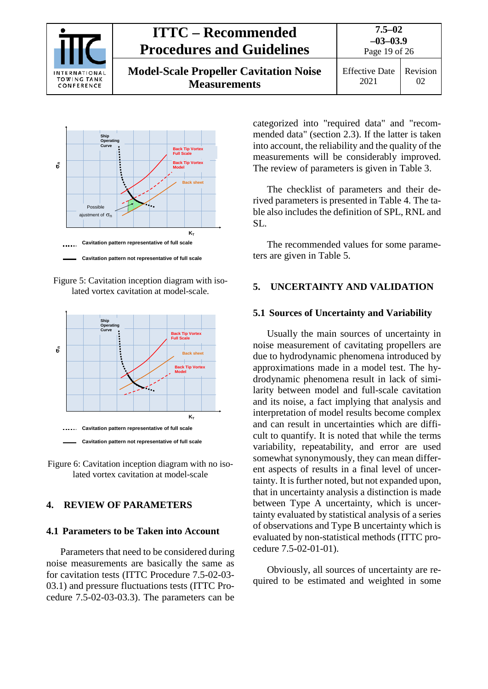

**7.5–02 –03–03.9**

Page 19 of 26

**Model-Scale Propeller Cavitation Noise Measurements**

Effective Date 2021 Revision 02



Figure 5: Cavitation inception diagram with isolated vortex cavitation at model-scale.





## <span id="page-18-1"></span><span id="page-18-0"></span>**4. REVIEW OF PARAMETERS**

#### **4.1 Parameters to be Taken into Account**

Parameters that need to be considered during noise measurements are basically the same as for cavitation tests (ITTC Procedure 7.5-02-03- 03.1) and pressure fluctuations tests (ITTC Procedure 7.5-02-03-03.3). The parameters can be

categorized into "required data" and "recommended data" (section 2.3). If the latter is taken into account, the reliability and the quality of the measurements will be considerably improved. The review of parameters is given in Table 3.

The checklist of parameters and their derived parameters is presented in Table 4. The table also includes the definition of SPL, RNL and SL.

The recommended values for some parameters are given in Table 5.

### <span id="page-18-3"></span><span id="page-18-2"></span>**5. UNCERTAINTY AND VALIDATION**

#### **5.1 Sources of Uncertainty and Variability**

Usually the main sources of uncertainty in noise measurement of cavitating propellers are due to hydrodynamic phenomena introduced by approximations made in a model test. The hydrodynamic phenomena result in lack of similarity between model and full-scale cavitation and its noise, a fact implying that analysis and interpretation of model results become complex and can result in uncertainties which are difficult to quantify. It is noted that while the terms variability, repeatability, and error are used somewhat synonymously, they can mean different aspects of results in a final level of uncertainty. It is further noted, but not expanded upon, that in uncertainty analysis a distinction is made between Type A uncertainty, which is uncertainty evaluated by statistical analysis of a series of observations and Type B uncertainty which is evaluated by non-statistical methods (ITTC procedure 7.5-02-01-01).

Obviously, all sources of uncertainty are required to be estimated and weighted in some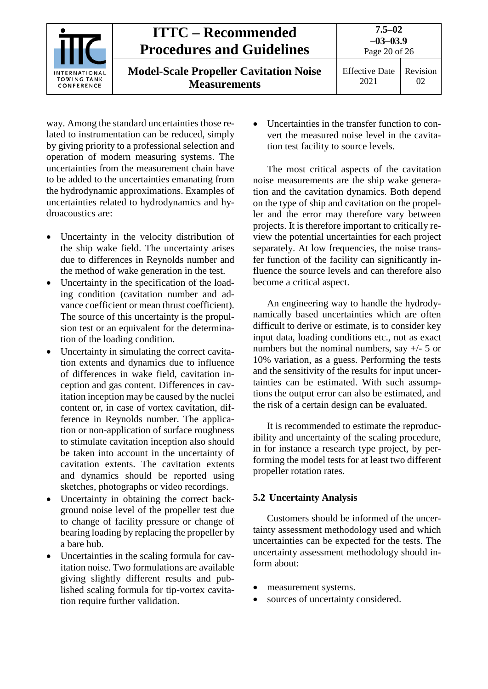

way. Among the standard uncertainties those related to instrumentation can be reduced, simply by giving priority to a professional selection and operation of modern measuring systems. The uncertainties from the measurement chain have to be added to the uncertainties emanating from the hydrodynamic approximations. Examples of uncertainties related to hydrodynamics and hydroacoustics are:

- Uncertainty in the velocity distribution of the ship wake field. The uncertainty arises due to differences in Reynolds number and the method of wake generation in the test.
- Uncertainty in the specification of the loading condition (cavitation number and advance coefficient or mean thrust coefficient). The source of this uncertainty is the propulsion test or an equivalent for the determination of the loading condition.
- Uncertainty in simulating the correct cavitation extents and dynamics due to influence of differences in wake field, cavitation inception and gas content. Differences in cavitation inception may be caused by the nuclei content or, in case of vortex cavitation, difference in Reynolds number. The application or non-application of surface roughness to stimulate cavitation inception also should be taken into account in the uncertainty of cavitation extents. The cavitation extents and dynamics should be reported using sketches, photographs or video recordings.
- Uncertainty in obtaining the correct background noise level of the propeller test due to change of facility pressure or change of bearing loading by replacing the propeller by a bare hub.
- Uncertainties in the scaling formula for cavitation noise. Two formulations are available giving slightly different results and published scaling formula for tip-vortex cavitation require further validation.

• Uncertainties in the transfer function to convert the measured noise level in the cavitation test facility to source levels.

The most critical aspects of the cavitation noise measurements are the ship wake generation and the cavitation dynamics. Both depend on the type of ship and cavitation on the propeller and the error may therefore vary between projects. It is therefore important to critically review the potential uncertainties for each project separately. At low frequencies, the noise transfer function of the facility can significantly influence the source levels and can therefore also become a critical aspect.

An engineering way to handle the hydrodynamically based uncertainties which are often difficult to derive or estimate, is to consider key input data, loading conditions etc., not as exact numbers but the nominal numbers, say +/- 5 or 10% variation, as a guess. Performing the tests and the sensitivity of the results for input uncertainties can be estimated. With such assumptions the output error can also be estimated, and the risk of a certain design can be evaluated.

It is recommended to estimate the reproducibility and uncertainty of the scaling procedure, in for instance a research type project, by performing the model tests for at least two different propeller rotation rates.

### <span id="page-19-0"></span>**5.2 Uncertainty Analysis**

Customers should be informed of the uncertainty assessment methodology used and which uncertainties can be expected for the tests. The uncertainty assessment methodology should inform about:

- measurement systems.
- sources of uncertainty considered.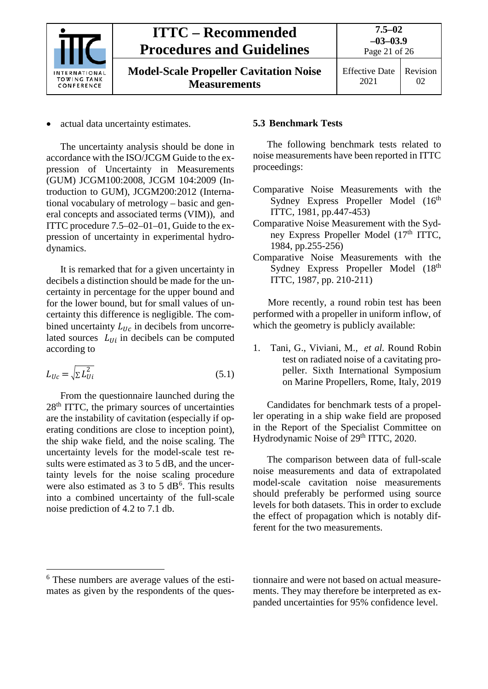

Page 21 of 26

02

**Model-Scale Propeller Cavitation Noise Measurements**

actual data uncertainty estimates.

The uncertainty analysis should be done in accordance with the ISO/JCGM Guide to the expression of Uncertainty in Measurements (GUM) JCGM100:2008, JCGM 104:2009 (Introduction to GUM), JCGM200:2012 (International vocabulary of metrology – basic and general concepts and associated terms (VIM)), and ITTC procedure 7.5–02–01–01, Guide to the expression of uncertainty in experimental hydrodynamics.

It is remarked that for a given uncertainty in decibels a distinction should be made for the uncertainty in percentage for the upper bound and for the lower bound, but for small values of uncertainty this difference is negligible. The combined uncertainty  $L_{IIC}$  in decibels from uncorrelated sources  $L_{11i}$  in decibels can be computed according to

$$
L_{Uc} = \sqrt{\Sigma L_{Ui}^2}
$$
 (5.1)

From the questionnaire launched during the  $28<sup>th</sup> ITTC$ , the primary sources of uncertainties are the instability of cavitation (especially if operating conditions are close to inception point), the ship wake field, and the noise scaling. The uncertainty levels for the model-scale test results were estimated as 3 to 5 dB, and the uncertainty levels for the noise scaling procedure were also estimated as  $3$  to  $5$  dB<sup>[6](#page-20-1)</sup>. This results into a combined uncertainty of the full-scale noise prediction of 4.2 to 7.1 db.

# <span id="page-20-0"></span>**5.3 Benchmark Tests**

The following benchmark tests related to noise measurements have been reported in ITTC proceedings:

- Comparative Noise Measurements with the Sydney Express Propeller Model (16<sup>th</sup>) ITTC, 1981, pp.447-453)
- Comparative Noise Measurement with the Sydney Express Propeller Model (17<sup>th</sup> ITTC, 1984, pp.255-256)
- Comparative Noise Measurements with the Sydney Express Propeller Model (18<sup>th</sup>) ITTC, 1987, pp. 210-211)

More recently, a round robin test has been performed with a propeller in uniform inflow, of which the geometry is publicly available:

1. Tani, G., Viviani, M., *et al.* Round Robin test on radiated noise of a cavitating propeller. Sixth International Symposium on Marine Propellers, Rome, Italy, 2019

Candidates for benchmark tests of a propeller operating in a ship wake field are proposed in the Report of the Specialist Committee on Hydrodynamic Noise of 29<sup>th</sup> ITTC, 2020.

The comparison between data of full-scale noise measurements and data of extrapolated model-scale cavitation noise measurements should preferably be performed using source levels for both datasets. This in order to exclude the effect of propagation which is notably different for the two measurements.

tionnaire and were not based on actual measurements. They may therefore be interpreted as expanded uncertainties for 95% confidence level.

<span id="page-20-1"></span> <sup>6</sup> These numbers are average values of the estimates as given by the respondents of the ques-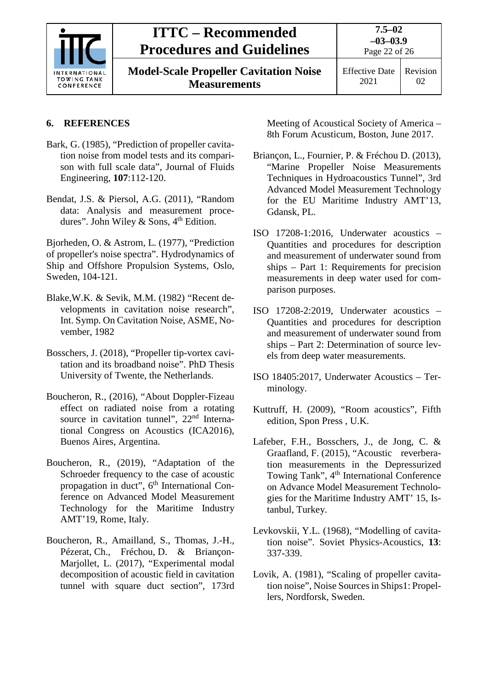

**Model-Scale Propeller Cavitation Noise Measurements**

# **6. REFERENCES**

- Bark, G. (1985), "Prediction of propeller cavitation noise from model tests and its comparison with full scale data", Journal of Fluids Engineering, **107**:112-120.
- Bendat, J.S. & Piersol, A.G. (2011), "Random data: Analysis and measurement procedures". John Wiley & Sons,  $4<sup>th</sup>$  Edition.

Bjorheden, O. & Astrom, L. (1977), "Prediction of propeller's noise spectra". Hydrodynamics of Ship and Offshore Propulsion Systems, Oslo, Sweden, 104-121.

- Blake,W.K. & Sevik, M.M. (1982) "Recent developments in cavitation noise research", Int. Symp. On Cavitation Noise, ASME, November, 1982
- Bosschers, J. (2018), "Propeller tip-vortex cavitation and its broadband noise". PhD Thesis University of Twente, the Netherlands.
- Boucheron, R., (2016), "About Doppler-Fizeau effect on radiated noise from a rotating source in cavitation tunnel",  $22<sup>nd</sup>$  International Congress on Acoustics (ICA2016), Buenos Aires, Argentina.
- Boucheron, R., (2019), "Adaptation of the Schroeder frequency to the case of acoustic propagation in duct", 6<sup>th</sup> International Conference on Advanced Model Measurement Technology for the Maritime Industry AMT'19, Rome, Italy.
- Boucheron, R., Amailland, S., Thomas, J.-H., Pézerat, Ch., Fréchou, D. & Briançon-Marjollet, L. (2017), "Experimental modal decomposition of acoustic field in cavitation tunnel with square duct section", 173rd

Meeting of Acoustical Society of America – 8th Forum Acusticum, Boston, June 2017.

- Briançon, L., Fournier, P. & Fréchou D. (2013), "Marine Propeller Noise Measurements Techniques in Hydroacoustics Tunnel", 3rd Advanced Model Measurement Technology for the EU Maritime Industry AMT'13, Gdansk, PL.
- ISO 17208-1:2016, Underwater acoustics Quantities and procedures for description and measurement of underwater sound from ships – Part 1: Requirements for precision measurements in deep water used for comparison purposes.
- ISO 17208-2:2019, Underwater acoustics Quantities and procedures for description and measurement of underwater sound from ships – Part 2: Determination of source levels from deep water measurements.
- ISO 18405:2017, Underwater Acoustics Terminology.
- Kuttruff, H. (2009), "Room acoustics", Fifth edition, Spon Press , U.K.
- Lafeber, F.H., Bosschers, J., de Jong, C. & Graafland, F. (2015), "Acoustic reverberation measurements in the Depressurized Towing Tank", 4<sup>th</sup> International Conference on Advance Model Measurement Technologies for the Maritime Industry AMT' 15, Istanbul, Turkey.
- Levkovskii, Y.L. (1968), "Modelling of cavitation noise". Soviet Physics-Acoustics, **13**: 337-339.
- Lovik, A. (1981), "Scaling of propeller cavitation noise", Noise Sources in Ships1: Propellers, Nordforsk, Sweden.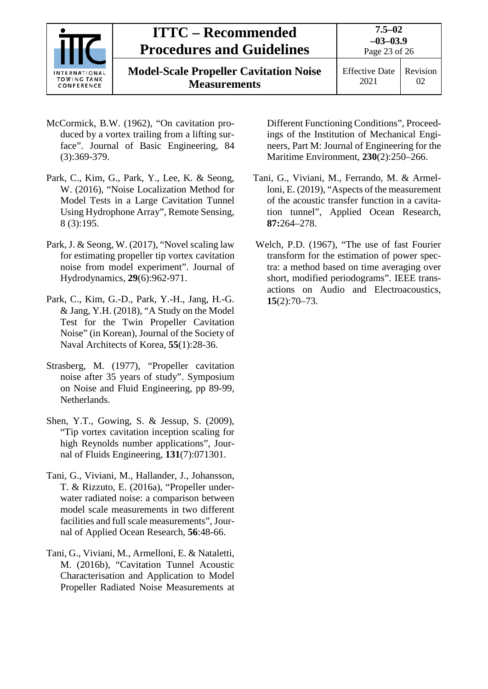

Page 23 of 26

**Model-Scale Propeller Cavitation Noise Measurements**

- McCormick, B.W. (1962), "On cavitation produced by a vortex trailing from a lifting surface". Journal of Basic Engineering, 84 (3):369-379.
- Park, C., Kim, G., Park, Y., Lee, K. & Seong, W. (2016), "Noise Localization Method for Model Tests in a Large Cavitation Tunnel Using Hydrophone Array", Remote Sensing, 8 (3):195.
- Park, J. & Seong, W. (2017), "Novel scaling law for estimating propeller tip vortex cavitation noise from model experiment". Journal of Hydrodynamics, **29**(6):962-971.
- Park, C., Kim, G.-D., Park, Y.-H., Jang, H.-G. & Jang, Y.H. (2018), "A Study on the Model Test for the Twin Propeller Cavitation Noise" (in Korean), Journal of the Society of Naval Architects of Korea, **55**(1):28-36.
- Strasberg, M. (1977), "Propeller cavitation noise after 35 years of study". Symposium on Noise and Fluid Engineering, pp 89-99, Netherlands.
- Shen, Y.T., Gowing, S. & Jessup, S. (2009), "Tip vortex cavitation inception scaling for high Reynolds number applications", Journal of Fluids Engineering, **131**(7):071301.
- Tani, G., Viviani, M., Hallander, J., Johansson, T. & Rizzuto, E. (2016a), "Propeller underwater radiated noise: a comparison between model scale measurements in two different facilities and full scale measurements", Journal of Applied Ocean Research, **56**:48-66.
- Tani, G., Viviani, M., Armelloni, E. & Nataletti, M. (2016b), "Cavitation Tunnel Acoustic Characterisation and Application to Model Propeller Radiated Noise Measurements at

Different Functioning Conditions", Proceedings of the Institution of Mechanical Engineers, Part M: Journal of Engineering for the Maritime Environment, **230**(2):250–266.

- Tani, G., Viviani, M., Ferrando, M. & Armelloni, E. (2019), "Aspects of the measurement of the acoustic transfer function in a cavitation tunnel", Applied Ocean Research, **87:**264–278.
- Welch, P.D. (1967), "The use of fast Fourier transform for the estimation of power spectra: a method based on time averaging over short, modified periodograms". IEEE transactions on Audio and Electroacoustics, **15**(2):70–73.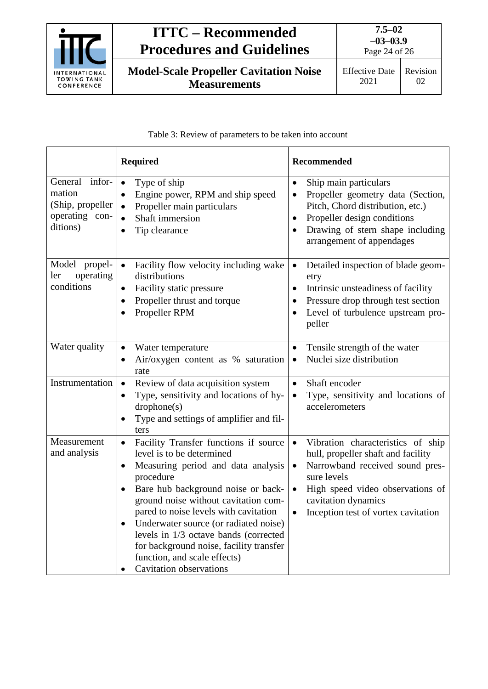

Page 24 of 26

**Model-Scale Propeller Cavitation Noise Measurements**

## Table 3: Review of parameters to be taken into account

|                                                                            | <b>Required</b>                                                                                                                                                                                                                                                                                                                                                                                                                                                             | <b>Recommended</b>                                                                                                                                                                                                                                                              |
|----------------------------------------------------------------------------|-----------------------------------------------------------------------------------------------------------------------------------------------------------------------------------------------------------------------------------------------------------------------------------------------------------------------------------------------------------------------------------------------------------------------------------------------------------------------------|---------------------------------------------------------------------------------------------------------------------------------------------------------------------------------------------------------------------------------------------------------------------------------|
| General infor-<br>mation<br>(Ship, propeller<br>operating con-<br>ditions) | Type of ship<br>$\bullet$<br>Engine power, RPM and ship speed<br>$\bullet$<br>Propeller main particulars<br>$\bullet$<br>Shaft immersion<br>$\bullet$<br>Tip clearance<br>$\bullet$                                                                                                                                                                                                                                                                                         | Ship main particulars<br>$\bullet$<br>Propeller geometry data (Section,<br>Pitch, Chord distribution, etc.)<br>Propeller design conditions<br>$\bullet$<br>Drawing of stern shape including<br>$\bullet$<br>arrangement of appendages                                           |
| Model propel-<br>operating<br>ler<br>conditions                            | Facility flow velocity including wake<br>$\bullet$<br>distributions<br>Facility static pressure<br>$\bullet$<br>Propeller thrust and torque<br>$\bullet$<br>Propeller RPM<br>$\bullet$                                                                                                                                                                                                                                                                                      | Detailed inspection of blade geom-<br>$\bullet$<br>etry<br>Intrinsic unsteadiness of facility<br>$\bullet$<br>Pressure drop through test section<br>$\bullet$<br>Level of turbulence upstream pro-<br>$\bullet$<br>peller                                                       |
| Water quality                                                              | Water temperature<br>$\bullet$<br>Air/oxygen content as % saturation<br>$\bullet$<br>rate                                                                                                                                                                                                                                                                                                                                                                                   | Tensile strength of the water<br>$\bullet$<br>Nuclei size distribution<br>$\bullet$                                                                                                                                                                                             |
| Instrumentation                                                            | Review of data acquisition system<br>$\bullet$<br>Type, sensitivity and locations of hy-<br>$\bullet$<br>drophone(s)<br>Type and settings of amplifier and fil-<br>ters                                                                                                                                                                                                                                                                                                     | $\bullet$<br>Shaft encoder<br>Type, sensitivity and locations of<br>$\bullet$<br>accelerometers                                                                                                                                                                                 |
| Measurement<br>and analysis                                                | Facility Transfer functions if source<br>$\bullet$<br>level is to be determined<br>Measuring period and data analysis<br>$\bullet$<br>procedure<br>Bare hub background noise or back-<br>$\bullet$<br>ground noise without cavitation com-<br>pared to noise levels with cavitation<br>Underwater source (or radiated noise)<br>levels in 1/3 octave bands (corrected<br>for background noise, facility transfer<br>function, and scale effects)<br>Cavitation observations | Vibration characteristics of ship<br>$\bullet$<br>hull, propeller shaft and facility<br>Narrowband received sound pres-<br>$\bullet$<br>sure levels<br>High speed video observations of<br>$\bullet$<br>cavitation dynamics<br>Inception test of vortex cavitation<br>$\bullet$ |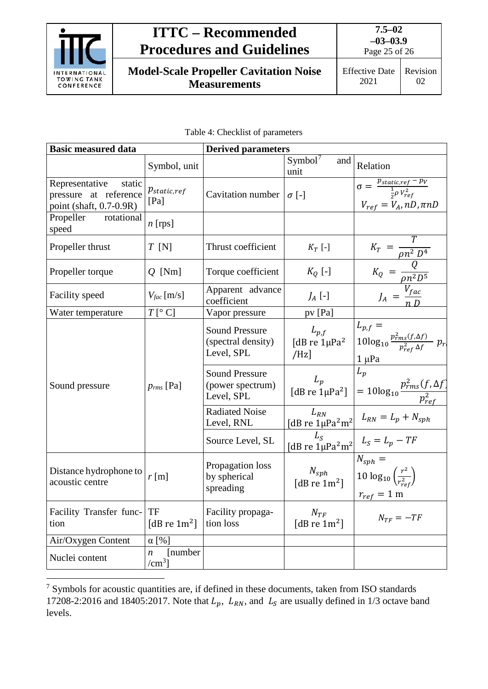

**7.5–02 –03–03.9** Page 25 of 26

**Model-Scale Propeller Cavitation Noise Measurements**

| <b>Basic measured data</b>                                                   |                                          | <b>Derived parameters</b>                                 |                                                                                                     |                                                                                                                               |  |
|------------------------------------------------------------------------------|------------------------------------------|-----------------------------------------------------------|-----------------------------------------------------------------------------------------------------|-------------------------------------------------------------------------------------------------------------------------------|--|
|                                                                              | Symbol, unit                             |                                                           | Symbol <sup>7</sup><br>and<br>unit                                                                  | Relation                                                                                                                      |  |
| Representative<br>static<br>pressure at reference<br>point (shaft, 0.7-0.9R) | $p_{static,ref}$<br>[Pa]                 | Cavitation number $\sigma$ [-]                            |                                                                                                     | $\sigma = \frac{p_{static,ref} - p_V}{\frac{1}{2}\rho V_{ref}^2}$<br>$V_{ref} = V_A, nD, \pi nD$                              |  |
| Propeller<br>rotational<br>speed                                             | $n$ [rps]                                |                                                           |                                                                                                     |                                                                                                                               |  |
| Propeller thrust                                                             | $T$ [N]                                  | Thrust coefficient                                        | $K_T$ [-]                                                                                           |                                                                                                                               |  |
| Propeller torque                                                             | $Q$ [Nm]                                 | Torque coefficient                                        | $K_Q$ [-]                                                                                           | $K_T = \frac{I}{\rho n^2 D^4}$<br>$K_Q = \frac{Q}{\rho n^2 D^5}$<br>$J_A = \frac{V_{fac}}{n D}$                               |  |
| Facility speed                                                               | $V_{fac}$ [m/s]                          | Apparent advance<br>coefficient                           | $J_A$ [-]                                                                                           |                                                                                                                               |  |
| Water temperature                                                            | $T[^{\circ}C]$                           | Vapor pressure                                            | pv [Pa]                                                                                             |                                                                                                                               |  |
|                                                                              |                                          | <b>Sound Pressure</b><br>(spectral density)<br>Level, SPL | $L_{p,f}$<br>[dB re $1\mu$ Pa <sup>2</sup><br>/Hz                                                   | $\begin{bmatrix} L_{p,f} = \\ 10\log_{10} \frac{p_{rms}^2(f,\Delta f)}{p_{ref}^2 \Delta f} & p_r \end{bmatrix}$<br>$1 \mu Pa$ |  |
| Sound pressure                                                               | $p_{rms}$ [Pa]                           | <b>Sound Pressure</b><br>(power spectrum)<br>Level, SPL   | $\begin{array}{c c} L_p & \\ [d\,B\,re\,1\mu\text{Pa}^2] & \end{array}$                             | $L_p$<br>$= 10\log_{10}\frac{p_{rms}^2(f,\Delta f)}{p_{ref}^2}$                                                               |  |
|                                                                              |                                          | <b>Radiated Noise</b><br>Level, RNL                       | $L_{RN}$                                                                                            | [dB re $\[\frac{m}{\mu}Pa^2m^2\]$ $L_{RN} = L_p + N_{sph}$                                                                    |  |
|                                                                              |                                          | Source Level, SL                                          | $\begin{vmatrix} -5 \\ \frac{1}{2} & \frac{1}{2} \\ 1 & \frac{1}{2} \end{vmatrix}$ $L_S = L_p - TF$ |                                                                                                                               |  |
| Distance hydrophone to<br>acoustic centre                                    | $r$ [m]                                  | Propagation loss<br>by spherical<br>spreading             | $N_{sph}$ [dB re 1m <sup>2</sup> ]                                                                  | $N_{sph} =$<br>10 $\log_{10}\left(\frac{r^2}{r_{ref}^2}\right)$<br>$r_{ref} = 1 \text{ m}$                                    |  |
| Facility Transfer func-<br>tion                                              | TF<br>[dB re $1m^2$ ]                    | Facility propaga-<br>tion loss                            | $N_{TF}$<br>[dB re $1m^2$ ]                                                                         | $N_{TF} = -TF$                                                                                                                |  |
| Air/Oxygen Content                                                           | $\alpha$ [%]                             |                                                           |                                                                                                     |                                                                                                                               |  |
| Nuclei content                                                               | [number]<br>$\boldsymbol{n}$<br>$/cm3$ ] |                                                           |                                                                                                     |                                                                                                                               |  |

<span id="page-24-0"></span> <sup>7</sup> Symbols for acoustic quantities are, if defined in these documents, taken from ISO standards 17208-2:2016 and 18405:2017. Note that  $L_p$ ,  $L_{RN}$ , and  $L_s$  are usually defined in 1/3 octave band levels.